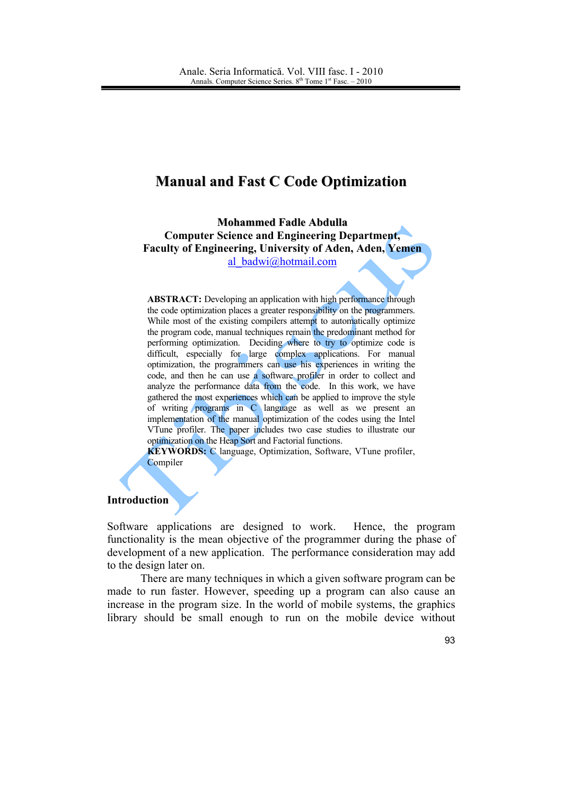# **Manual and Fast C Code Optimization**

**Mohammed Fadle Abdulla Computer Science and Engineering Department. Faculty of Engineering, University of Aden, Aden, Yemen** al badwi@hotmail.com

**ABSTRACT:** Developing an application with high performance through the code optimization places a greater responsibility on the programmers. While most of the existing compilers attempt to automatically optimize the program code, manual techniques remain the predominant method for performing optimization. Deciding where to try to optimize code is difficult, especially for large complex applications. For manual optimization, the programmers can use his experiences in writing the code, and then he can use a software profiler in order to collect and analyze the performance data from the code. In this work, we have gathered the most experiences which can be applied to improve the style of writing programs in  $C$  language as well as we present an implementation of the manual optimization of the codes using the Intel VTune profiler. The paper includes two case studies to illustrate our optimization on the Heap Sort and Factorial functions.

**KEYWORDS:** C language, Optimization, Software, VTune profiler, Compiler

# **Introduction**

Software applications are designed to work. Hence, the program functionality is the mean objective of the programmer during the phase of development of a new application. The performance consideration may add to the design later on.

There are many techniques in which a given software program can be made to run faster. However, speeding up a program can also cause an increase in the program size. In the world of mobile systems, the graphics library should be small enough to run on the mobile device without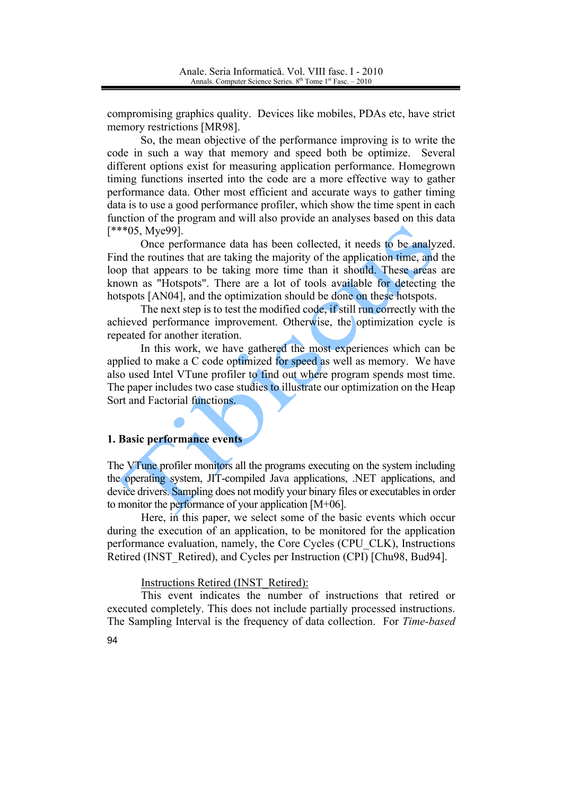compromising graphics quality. Devices like mobiles, PDAs etc, have strict memory restrictions [MR98].

So, the mean objective of the performance improving is to write the code in such a way that memory and speed both be optimize. Several different options exist for measuring application performance. Homegrown timing functions inserted into the code are a more effective way to gather performance data. Other most efficient and accurate ways to gather timing data is to use a good performance profiler, which show the time spent in each function of the program and will also provide an analyses based on this data  $[***05, Mye99]$ .

Once performance data has been collected, it needs to be analyzed. Find the routines that are taking the majority of the application time, and the loop that appears to be taking more time than it should. These areas are known as "Hotspots". There are a lot of tools available for detecting the hotspots [AN04], and the optimization should be done on these hotspots.

The next step is to test the modified code, if still run correctly with the achieved performance improvement. Otherwise, the optimization cycle is repeated for another iteration.

In this work, we have gathered the most experiences which can be applied to make a C code optimized for speed as well as memory. We have also used Intel VTune profiler to find out where program spends most time. The paper includes two case studies to illustrate our optimization on the Heap Sort and Factorial functions.

#### 1. Basic performance events

The VTune profiler monitors all the programs executing on the system including the operating system, JIT-compiled Java applications, .NET applications, and device drivers. Sampling does not modify your binary files or executables in order to monitor the performance of your application  $[M+06]$ .

Here, in this paper, we select some of the basic events which occur during the execution of an application, to be monitored for the application performance evaluation, namely, the Core Cycles (CPU CLK), Instructions Retired (INST Retired), and Cycles per Instruction (CPI) [Chu98, Bud94].

Instructions Retired (INST Retired):

This event indicates the number of instructions that retired or executed completely. This does not include partially processed instructions. The Sampling Interval is the frequency of data collection. For Time-based

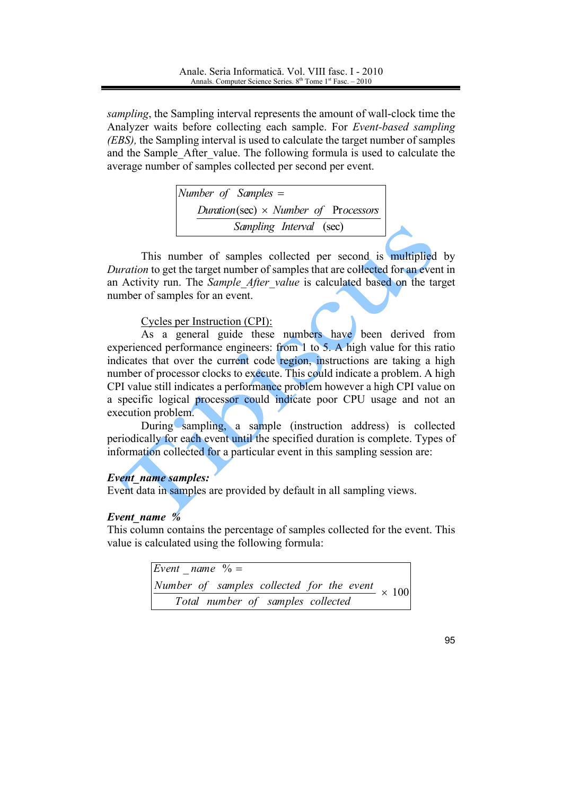sampling, the Sampling interval represents the amount of wall-clock time the Analyzer waits before collecting each sample. For *Event-based sampling* (EBS), the Sampling interval is used to calculate the target number of samples and the Sample After value. The following formula is used to calculate the average number of samples collected per second per event.

> Number of Samples  $=$ Duration(sec)  $\times$  Number of Processors Sampling Interval (sec)

This number of samples collected per second is multiplied by Duration to get the target number of samples that are collected for an event in an Activity run. The Sample After value is calculated based on the target number of samples for an event.

## Cycles per Instruction (CPI):

As a general guide these numbers have been derived from experienced performance engineers: from 1 to 5. A high value for this ratio indicates that over the current code region, instructions are taking a high number of processor clocks to execute. This could indicate a problem. A high CPI value still indicates a performance problem however a high CPI value on a specific logical processor could indicate poor CPU usage and not an execution problem.

During sampling, a sample (instruction address) is collected periodically for each event until the specified duration is complete. Types of information collected for a particular event in this sampling session are:

## **Event name samples:**

Event data in samples are provided by default in all sampling views.

## Event name %

This column contains the percentage of samples collected for the event. This value is calculated using the following formula:

| Event name $\sqrt{6}$ =                                |  |
|--------------------------------------------------------|--|
| Number of samples collected for the event $\times$ 100 |  |
| Total number of samples collected                      |  |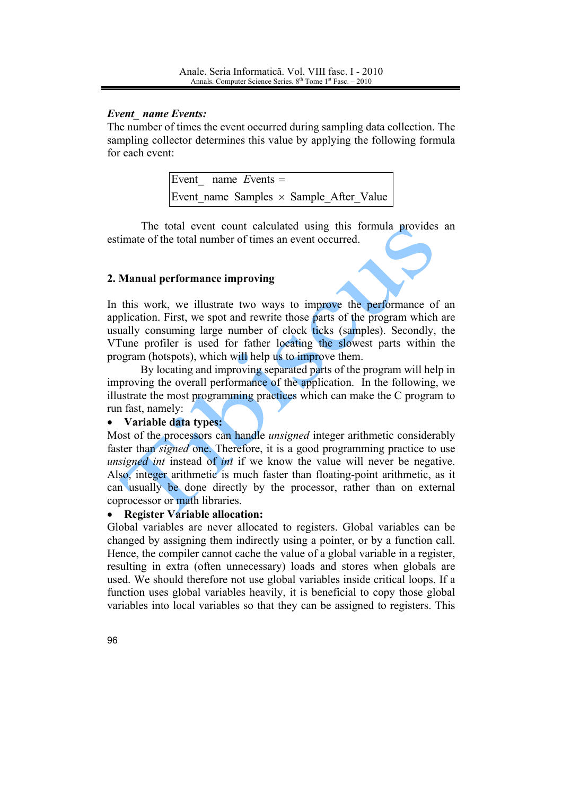# **Event** name Events:

The number of times the event occurred during sampling data collection. The sampling collector determines this value by applying the following formula for each event:

|  | Event name Events $=$                          |  |  |
|--|------------------------------------------------|--|--|
|  | Event name Samples $\times$ Sample After Value |  |  |

The total event count calculated using this formula provides an estimate of the total number of times an event occurred.

# 2. Manual performance improving

In this work, we illustrate two ways to improve the performance of an application. First, we spot and rewrite those parts of the program which are usually consuming large number of clock ticks (samples). Secondly, the VTune profiler is used for father locating the slowest parts within the program (hotspots), which will help us to improve them.

By locating and improving separated parts of the program will help in improving the overall performance of the application. In the following, we illustrate the most programming practices which can make the C program to run fast, namely:

#### Variable data types:  $\bullet$

Most of the processors can handle *unsigned* integer arithmetic considerably faster than *signed* one. Therefore, it is a good programming practice to use *unsigned int* instead of *int* if we know the value will never be negative. Also, integer arithmetic is much faster than floating-point arithmetic, as it can usually be done directly by the processor, rather than on external coprocessor or math libraries.

#### **Register Variable allocation:**  $\bullet$

Global variables are never allocated to registers. Global variables can be changed by assigning them indirectly using a pointer, or by a function call. Hence, the compiler cannot cache the value of a global variable in a register, resulting in extra (often unnecessary) loads and stores when globals are used. We should therefore not use global variables inside critical loops. If a function uses global variables heavily, it is beneficial to copy those global variables into local variables so that they can be assigned to registers. This

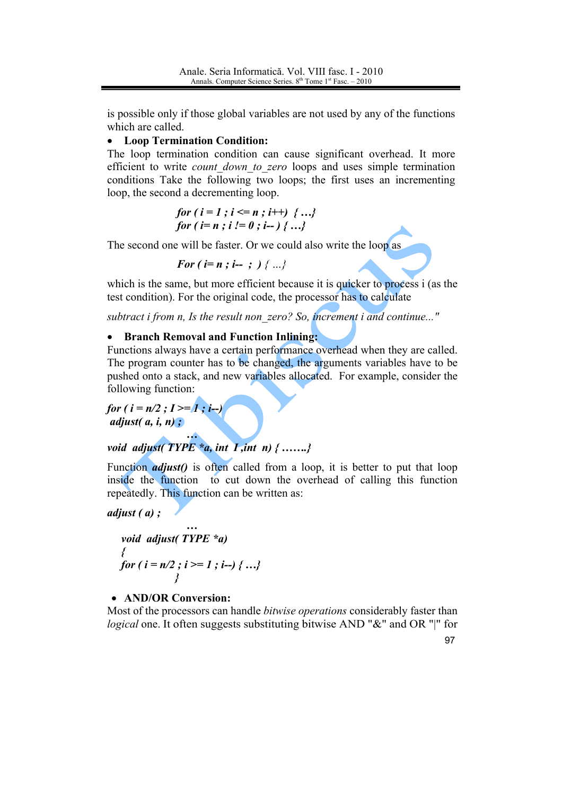is possible only if those global variables are not used by any of the functions which are called.

# • Loop Termination Condition:

The loop termination condition can cause significant overhead. It more efficient to write *count down to zero* loops and uses simple termination conditions Take the following two loops; the first uses an incrementing loop, the second a decrementing loop.

for 
$$
(i = 1; i \le n; i++) \{...
$$
  
for  $(i = n; i != 0; i--) \{...$ 

The second one will be faster. Or we could also write the loop as

For 
$$
(i = n; i - ;)
$$
  $\{...\}$ 

which is the same, but more efficient because it is quicker to process i (as the test condition). For the original code, the processor has to calculate

subtract i from n, Is the result non zero? So, increment i and continue..."

#### $\bullet$ **Branch Removal and Function Inlining:**

Functions always have a certain performance overhead when they are called. The program counter has to be changed, the arguments variables have to be pushed onto a stack, and new variables allocated. For example, consider the following function:

for  $(i = n/2 ; I \geq 1 ; i-)$ adjust $(a, i, n)$ ;

# void adjust(TYPE  $a$ , int I, int n) { .......}

Function *adjust*() is often called from a loop, it is better to put that loop inside the function to cut down the overhead of calling this function repeatedly. This function can be written as:

adjust  $(a)$ :

```
void adjust (TYPE *a)
for (i = n/2; i >= 1; i-j { ...}
```
# • AND/OR Conversion:

Most of the processors can handle *bitwise operations* considerably faster than *logical* one. It often suggests substituting bitwise AND "&" and OR "|" for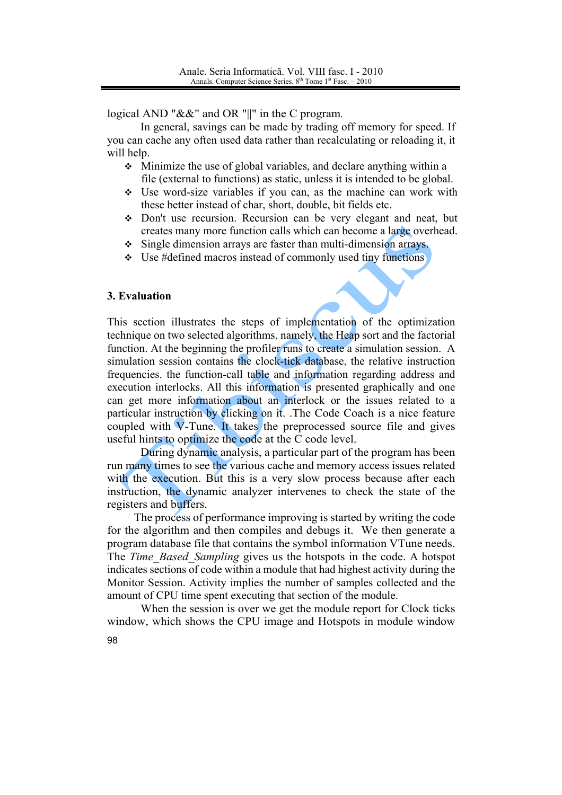logical AND " $&\&$ " and OR "||" in the C program.

In general, savings can be made by trading off memory for speed. If you can cache any often used data rather than recalculating or reloading it, it will help.

- $\div$  Minimize the use of global variables, and declare anything within a file (external to functions) as static, unless it is intended to be global.
- $\div$  Use word-size variables if you can, as the machine can work with these better instead of char, short, double, bit fields etc.
- Don't use recursion. Recursion can be very elegant and neat, but creates many more function calls which can become a large overhead.
- $\div$  Single dimension arrays are faster than multi-dimension arrays.
- Use #defined macros instead of commonly used tiny functions

#### 3. Evaluation

This section illustrates the steps of implementation of the optimization technique on two selected algorithms, namely, the Heap sort and the factorial function. At the beginning the profiler runs to create a simulation session. A simulation session contains the clock-tick database, the relative instruction frequencies, the function-call table and information regarding address and execution interlocks. All this information is presented graphically and one can get more information about an interlock or the issues related to a particular instruction by clicking on it. The Code Coach is a nice feature coupled with V-Tune. It takes the preprocessed source file and gives useful hints to optimize the code at the C code level.

During dynamic analysis, a particular part of the program has been run many times to see the various cache and memory access issues related with the execution. But this is a very slow process because after each instruction, the dynamic analyzer intervenes to check the state of the registers and buffers.

The process of performance improving is started by writing the code for the algorithm and then compiles and debugs it. We then generate a program database file that contains the symbol information VTune needs. The *Time Based Sampling* gives us the hotspots in the code. A hotspot indicates sections of code within a module that had highest activity during the Monitor Session. Activity implies the number of samples collected and the amount of CPU time spent executing that section of the module.

When the session is over we get the module report for Clock ticks window, which shows the CPU image and Hotspots in module window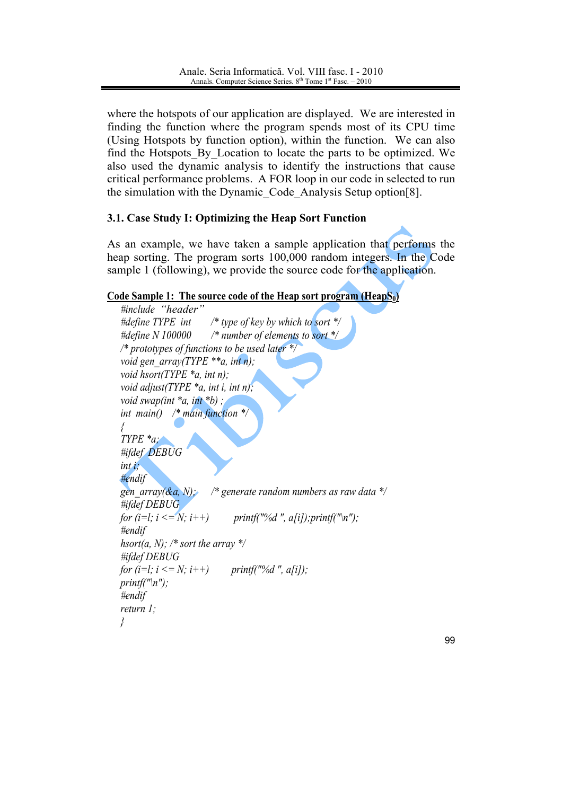where the hotspots of our application are displayed. We are interested in finding the function where the program spends most of its CPU time (Using Hotspots by function option), within the function. We can also find the Hotspots By Location to locate the parts to be optimized. We also used the dynamic analysis to identify the instructions that cause critical performance problems. A FOR loop in our code in selected to run the simulation with the Dynamic Code Analysis Setup option<sup>[8]</sup>.

# 3.1. Case Study I: Optimizing the Heap Sort Function

As an example, we have taken a sample application that performs the heap sorting. The program sorts 100,000 random integers. In the Code sample 1 (following), we provide the source code for the application.

# Code Sample 1: The source code of the Heap sort program (Heap $S_0$ )

```
#include "header"
#define TYPE int
                      /* type of key by which to sort */
#define N 100000
                      /* number of elements to sort *//* prototypes of functions to be used later */void gen arrow(TYPE **a, int n);void hsort(TYPE *_a, int n);
void adjust(TYPE a, int i, int n);
void swap(int a, int b);
int main() \frac{*}{m} main function *Ţ
T YPE * a#ifdef DEBUG
int i;
Hendif
gen array(&a, N):
                      /* generate random numbers as raw data \frac{k}{t}#ifdef DEBUG
for (i=l; i <= N; i++)
                            printf("%d", a[i]); printf("\n");
#endif
hsort(a, N); /* sort the array */
#ifdef DEBUG
for (i=l; i <= N; i++)
                           printf("%d", a[i]);
print(f("n");#endif
return l:
\lambda
```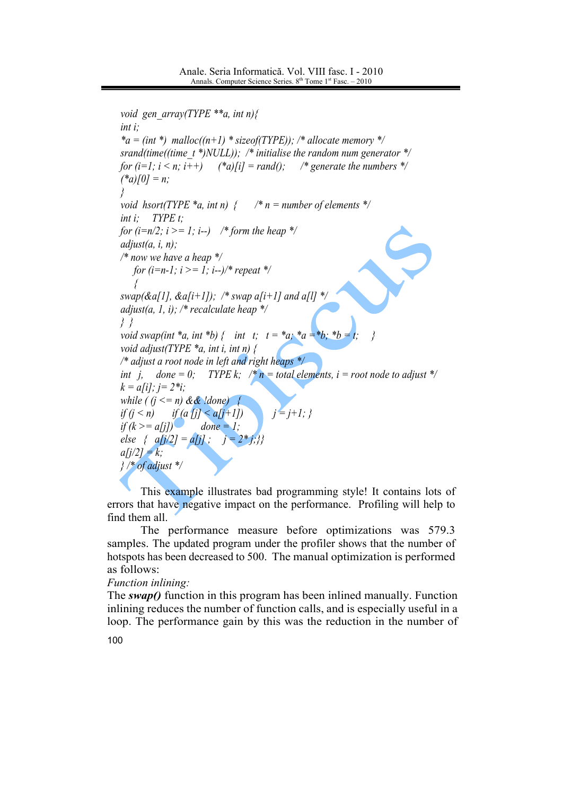```
void gen array(TYPE **a, int n){
int i;
a = (int^*) malloc((n+1) * sizeof(TYPE)); /* allocate memory */
srand(time((time t *)NULL)); /* initialise the random num generator */
for (i=1; i < n; i++) (*a)[i] = rand(); /* generate the numbers */
(*a)[0] = n;
\lambdavoid hsort(TYPE *a, i
                                /* n = number of elements */
int i
       TYPE t:
for (i=n/2; i >= 1; i--) /* form the heap */
adjust(a, i, n);
/* now we have a heap */for (i=n-1; i >= 1; i--)/* repeat */
   $
swap(&a[1], &a[i+1]); /* swap a[i+1] and a[l] */
adjust(a, 1, i); /* recalculate heap */
\}void swap(int *a, int *b) { int t; t = *a; *a = *b; *b = t; }
void adjust(TYPE a, int i, int n) {
/* adjust a root node in left and right heaps */
int j, done = 0; TYPE k; /* n = total elements, i = root node to adjust */
k = a[i]; j = 2^*i;while ( (j \le n) && !done) {
if (j \le n) i
            if (a [j] < a[j+1]) j = j+1;if (k \ge a[j]) done = 1;
else { a[j/2] = a[j]; j = 2 * j;}}
a[i/2] = k;
\frac{1}{2} /* of adjust */
```
This example illustrates bad programming style! It contains lots of errors that have negative impact on the performance. Profiling will help to find them all.

The performance measure before optimizations was 579.3 samples. The updated program under the profiler shows that the number of hotspots has been decreased to 500. The manual optimization is performed as follows:

## Function inlining:

The  $swap()$  function in this program has been inlined manually. Function inlining reduces the number of function calls, and is especially useful in a loop. The performance gain by this was the reduction in the number of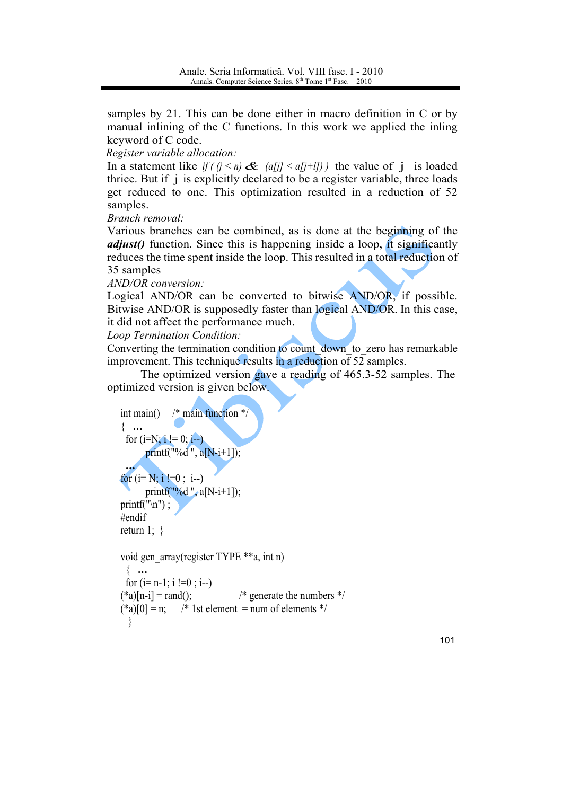samples by 21. This can be done either in macro definition in C or by manual inlining of the C functions. In this work we applied the inling keyword of C code.

Register variable allocation:

In a statement like if  $(j < n)$  &  $(a[j] < a[j+1])$  the value of j is loaded thrice. But if j is explicitly declared to be a register variable, three loads get reduced to one. This optimization resulted in a reduction of 52 samples.

Branch removal:

Various branches can be combined, as is done at the beginning of the *adjust()* function. Since this is happening inside a loop, it significantly reduces the time spent inside the loop. This resulted in a total reduction of 35 samples

AND/OR conversion:

Logical AND/OR can be converted to bitwise AND/OR, if possible. Bitwise AND/OR is supposedly faster than logical AND/OR. In this case, it did not affect the performance much.

Loop Termination Condition:

Converting the termination condition to count down to zero has remarkable improvement. This technique results in a reduction of 52 samples.

The optimized version gave a reading of 465.3-52 samples. The optimized version is given below.

```
/* main function *int main()\{...for (i=N; i != 0; i-)printf("%d", a[N-i+1]);
for (i=N; i |=0; i-)printf("%d", a[N-i+1]);
printf("\n");
#endif
return 1; \}void gen array(register TYPE **a, int n)
 \{...for (i= n-1; i != 0; i-)
```
 $(*a)[n-i] = rand($ ; /\* generate the numbers  $*/$  $(*a)$ [0] = n; /\* 1st element = num of elements \*/  $\left\{ \right.$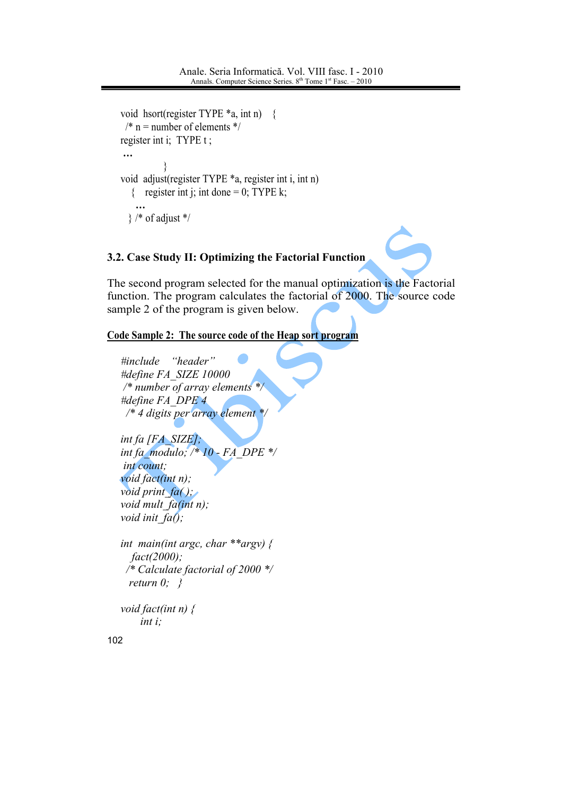```
void hsort(register TYPE a, int n) {
 /* n = number of elements */register int i; TYPE t :
\dddotscvoid adjust(register TYPE *a, register int i, int n)
  { register int j; int done = 0; TYPE k;
  \} /* of adjust */
```
# 3.2. Case Study II: Optimizing the Factorial Function

The second program selected for the manual optimization is the Factorial function. The program calculates the factorial of 2000. The source code sample 2 of the program is given below.

# Code Sample 2: The source code of the Heap sort program

```
#include
           "header"
#define FA SIZE 10000
/* number of array elements */
#define FA DPE 4
 /* 4 digits per array element *
int fa [FA SIZE]:
int fa modulo; /* 10 - FA DPE */
int count;
void fact(int n);
void print fa();
void mult fa(int n);void init fa();
int main(int argc, char **argy) {
  fact(2000);/* Calculate factorial of 2000 */
 return 0; \}void fact(int n) \{int i:
```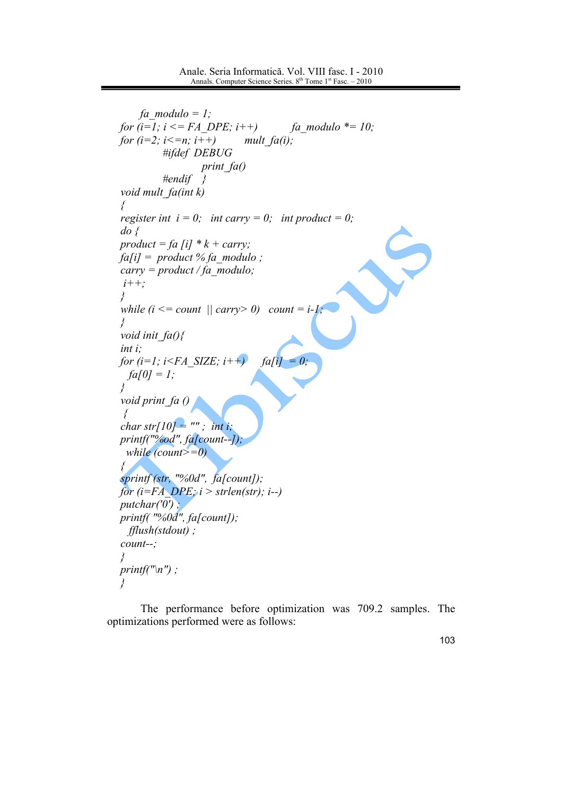```
fa modulo = 1;
for (i=1; i \leq F A \ DPE; i++)fa modulo *= 10;
for (i=2; i<=n; i++)mult fa(i);
           #ifdef DEBUG
                    print_f(a)#endif
                     \{void mult fa(int k)\{register int i = 0; int carry = 0; int product = 0;
do \, \{product = fa [i] * k + carry;fa[i] = product % fa modulo;
carry = product / fa \text{ modulo};i++:
Ł
while (i \le count \vert \vert \text{ carry} > 0) count = i-1;
\mathcal{S}_{\mathcal{S}}void init fa()int i:
for (i=1; i\leq FA SIZE; i++fa[i] = 0;fa[0] = 1;\lambdavoid print_fa\theta\big\{char str[10] = ""; int i;
printf("%od", fa[count--]);
 while \text{(count)}=0\{sprintf (str, "%0d", fa[count]);
for (i=FA DPE; i > strlen(str); i--)
putchar('0');
printf(\degree%0d", fa[count]);
 \text{fflush}(stdout);
count--\mathcal{S}_{\mathcal{S}}printf("n");
\left\{ \right\}
```
The performance before optimization was 709.2 samples. The optimizations performed were as follows: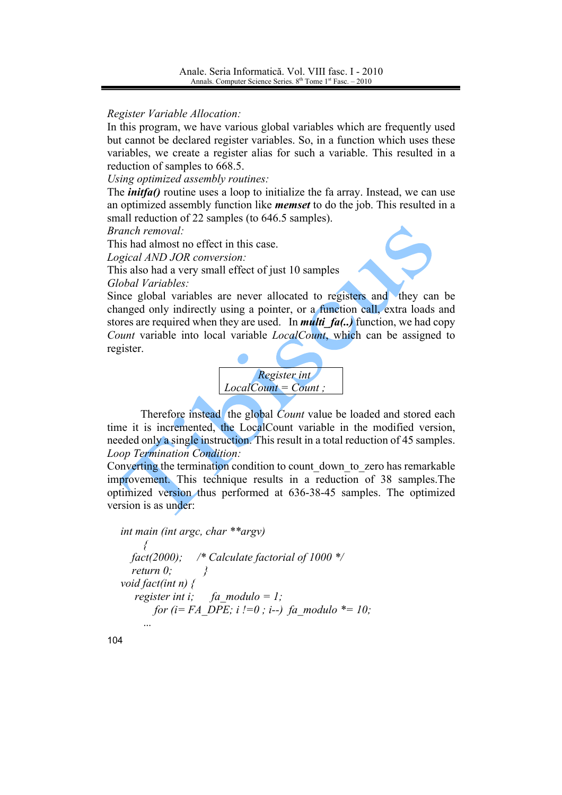Register Variable Allocation:

In this program, we have various global variables which are frequently used but cannot be declared register variables. So, in a function which uses these variables, we create a register alias for such a variable. This resulted in a reduction of samples to 668.5.

Using optimized assembly routines:

The *initeral* routine uses a loop to initialize the fa array. Instead, we can use an optimized assembly function like *memset* to do the job. This resulted in a small reduction of 22 samples (to 646.5 samples).

Branch removal:

This had almost no effect in this case.

Logical AND JOR conversion:

This also had a very small effect of just 10 samples Global Variables:

Since global variables are never allocated to registers and they can be changed only indirectly using a pointer, or a function call, extra loads and stores are required when they are used. In *multi fa(..)* function, we had copy Count variable into local variable *LocalCount*, which can be assigned to register.



Therefore instead the global *Count* value be loaded and stored each time it is incremented, the LocalCount variable in the modified version, needed only a single instruction. This result in a total reduction of 45 samples. **Loop Termination Condition:** 

Converting the termination condition to count down to zero has remarkable improvement. This technique results in a reduction of 38 samples. The optimized version thus performed at 636-38-45 samples. The optimized version is as under:

```
int main (int argc, char **argv)
                /* Calculate factorial of 1000 */
  fact (2000);
  return 0:
void fact(int n) \{register int i:
                   fa modulo = 1;
       for (i = FA DPE; i := 0; i -) fa modulo *= 10;
```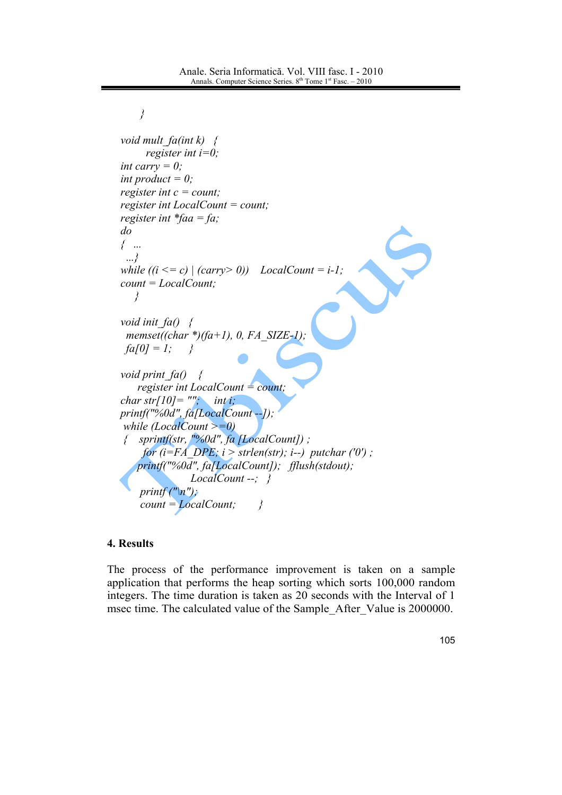```
\overline{y}void mult fa(int k) \{register int i=0:
int carry = 0;
int product = 0;
register int c = count;
register int LocalCount = count;
register int *faa = fa;
d\sigma\left\{ \right. ...
 ...\}while (i \leq c) | (carry > 0)) LocalCount = i-1;
count = LocalCount;\lambdavoid init fa() \leqmemset((char *)(fa+1), 0, FA SIZE-1);
 fa[0] = 1;\rightarrowvoid print fa() \quad \{register int LocalCount = count;
char str[10] = ''''; inti;
printf("%0d", fa[LocalCount --]);
while (LocalCount >=0)
 { sprintf(str, "%0d", fa [LocalCount]);
     for (i=FA DPE; i > strlen(str); i-j putchar ('0');
    printf("%0a", fa[LocalCount]); fflush(stdout);
                LocalCount -; \}printf (''\n'');
     count = LocalCount;\overline{y}
```
# **4. Results**

The process of the performance improvement is taken on a sample application that performs the heap sorting which sorts 100,000 random integers. The time duration is taken as 20 seconds with the Interval of 1 msec time. The calculated value of the Sample After Value is 2000000.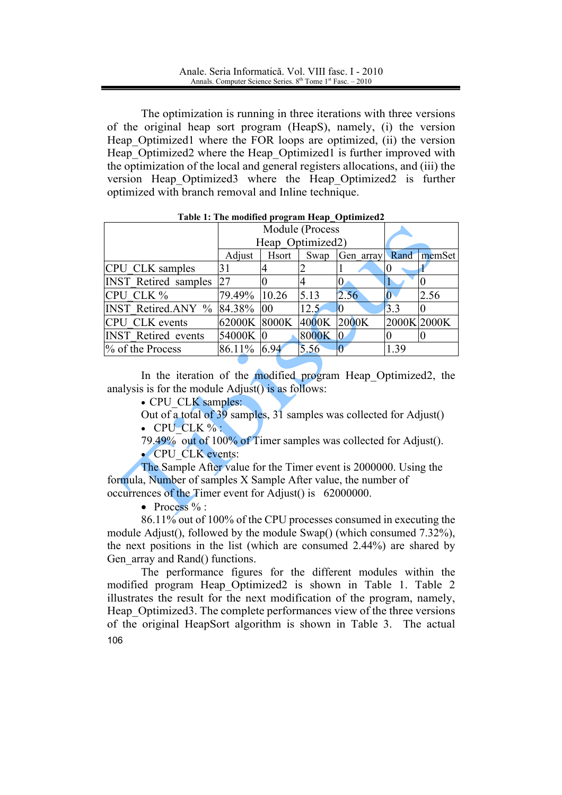The optimization is running in three iterations with three versions of the original heap sort program (HeapS), namely, (i) the version Heap Optimized1 where the FOR loops are optimized, (ii) the version Heap Optimized2 where the Heap Optimized1 is further improved with the optimization of the local and general registers allocations, and (iii) the version Heap Optimized3 where the Heap Optimized2 is further optimized with branch removal and Inline technique.

|                                     |              | Module (Process<br>Heap Optimized2) |       |             |      |             |  |
|-------------------------------------|--------------|-------------------------------------|-------|-------------|------|-------------|--|
|                                     | Adjust       | Rand<br>Hsort<br>Swap<br>Gen array  |       |             |      |             |  |
| CPU CLK samples                     | 31           |                                     |       |             | 0    |             |  |
| <b>INST</b> Retired samples         | 27           |                                     |       | 0           |      |             |  |
| CPU CLK %                           | 79.49%       | 10.26                               | 5.13  | 2.56        |      | 2.56        |  |
| <b>INST Retired.ANY % 84.38% 00</b> |              |                                     | 12.5  |             | 3.3  |             |  |
| <b>CPU CLK</b> events               | 62000K 8000K |                                     | 4000K | 2000K       |      | 2000K 2000K |  |
| <b>INST</b> Retired events          | 54000K 0     |                                     | 8000K | $ 0\rangle$ |      |             |  |
| % of the Process                    | 86.11%       | 6.94                                | 5.56  |             | 1.39 |             |  |

#### Table 1: The modified program Heap Optimized2

In the iteration of the modified program Heap Optimized2, the analysis is for the module  $\text{Adjust}()$  is as follows:

• CPU CLK samples:

Out of a total of 39 samples, 31 samples was collected for Adjust()  $\bullet$  CPU CLK %:

79.49% out of 100% of Timer samples was collected for Adjust(). • CPU CLK events:

The Sample After value for the Timer event is 2000000. Using the formula, Number of samples X Sample After value, the number of occurrences of the Timer event for Adjust() is 62000000.

• Process  $\%$  :

86.11% out of 100% of the CPU processes consumed in executing the module Adjust(), followed by the module Swap() (which consumed 7.32%), the next positions in the list (which are consumed 2.44%) are shared by Gen array and Rand() functions.

The performance figures for the different modules within the modified program Heap Optimized2 is shown in Table 1. Table 2 illustrates the result for the next modification of the program, namely, Heap Optimized 3. The complete performances view of the three versions of the original HeapSort algorithm is shown in Table 3. The actual 106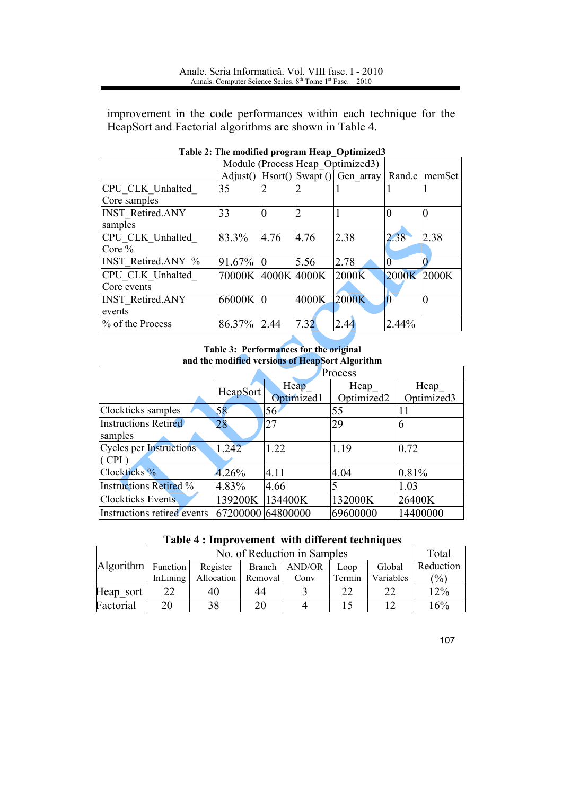improvement in the code performances within each technique for the HeapSort and Factorial algorithms are shown in Table 4.

|                           | Module (Process Heap Optimized3)               |        |        |       |             |      |
|---------------------------|------------------------------------------------|--------|--------|-------|-------------|------|
|                           | Hsort() Swapt() Gen array<br>$\text{Adjust}()$ | Rand.c | memSet |       |             |      |
| CPU CLK Unhalted          | 35                                             |        |        |       |             |      |
| Core samples              |                                                |        |        |       |             |      |
| <b>INST Retired.ANY</b>   | 33                                             |        |        |       |             |      |
| samples                   |                                                |        |        |       |             |      |
| CPU CLK Unhalted          | 83.3%                                          | 4.76   | 4.76   | 2.38  | 2.38        | 2.38 |
| Core $%$                  |                                                |        |        |       |             |      |
| <b>INST Retired.ANY %</b> | $91.67\%$ 0                                    |        | 5.56   | 2.78  |             |      |
| CPU CLK Unhalted          | 70000K 4000K 4000K                             |        |        | 2000K | 2000K 2000K |      |
| Core events               |                                                |        |        |       |             |      |
| <b>INST Retired.ANY</b>   | 66000K 0                                       |        | 4000K  | 2000K |             |      |
| events                    |                                                |        |        |       |             |      |
| % of the Process          | 86.37%                                         | 2.44   | 7.32   | 2.44  | 2.44%       |      |

Table 2: The modified program Heap\_Optimized3

Table 3: Performances for the original and the modified versions of HeapSort Algorithm

|                                         | Process           |                    |                    |                     |  |  |  |
|-----------------------------------------|-------------------|--------------------|--------------------|---------------------|--|--|--|
|                                         | HeapSort          | Heap<br>Optimized1 | Heap<br>Optimized2 | Heap_<br>Optimized3 |  |  |  |
| Clockticks samples                      | 58                | 56                 | 55                 | 11                  |  |  |  |
| <b>Instructions Retired</b><br>samples  | 28                | 27                 | 29                 | 6                   |  |  |  |
| <b>Cycles per Instructions</b><br>(CPI) | 1.242             | 1.22               | 1.19               | 0.72                |  |  |  |
| Clockticks <sup>%</sup>                 | 4.26%             | 4.11               | 4.04               | 0.81%               |  |  |  |
| <b>Instructions Retired %</b>           | 4.83%             | 4.66               |                    | 1.03                |  |  |  |
| <b>Clockticks Events</b>                | 139200K 134400K   |                    | 132000K            | 26400K              |  |  |  |
| Instructions retired events             | 67200000 64800000 |                    | 69600000           | 14400000            |  |  |  |

| Table 4 : Improvement with different techniques |  |
|-------------------------------------------------|--|
|-------------------------------------------------|--|

|                    |          | Total      |         |                 |        |           |           |
|--------------------|----------|------------|---------|-----------------|--------|-----------|-----------|
| Algorithm Function |          | Register   |         | Branch   AND/OR | Loop   | Global    | Reduction |
|                    | InLining | Allocation | Removal | Conv            | Termin | Variables | $(\%)$    |
| Heap sort          | 22       | 40         | 44      |                 | 22     |           | 12%       |
| Factorial          | 20       | 38         | 20      |                 |        |           | 16%       |

107